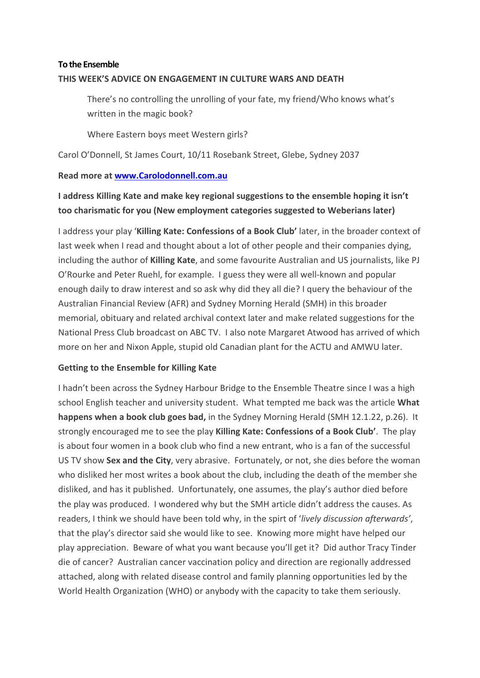# **To the Ensemble THIS WEEK'S ADVICE ON ENGAGEMENT IN CULTURE WARS AND DEATH**

There's no controlling the unrolling of your fate, my friend/Who knows what's written in the magic book?

Where Eastern boys meet Western girls?

Carol O'Donnell, St James Court, 10/11 Rosebank Street, Glebe, Sydney 2037

### **Read more at www.Carolodonnell.com.au**

# **I address Killing Kate and make key regional suggestions to the ensemble hoping it isn't too charismatic for you (New employment categories suggested to Weberians later)**

I address your play '**Killing Kate: Confessions of a Book Club'** later, in the broader context of last week when I read and thought about a lot of other people and their companies dying, including the author of **Killing Kate**, and some favourite Australian and US journalists, like PJ O'Rourke and Peter Ruehl, for example. I guess they were all well-known and popular enough daily to draw interest and so ask why did they all die? I query the behaviour of the Australian Financial Review (AFR) and Sydney Morning Herald (SMH) in this broader memorial, obituary and related archival context later and make related suggestions for the National Press Club broadcast on ABC TV. I also note Margaret Atwood has arrived of which more on her and Nixon Apple, stupid old Canadian plant for the ACTU and AMWU later.

### **Getting to the Ensemble for Killing Kate**

I hadn't been across the Sydney Harbour Bridge to the Ensemble Theatre since I was a high school English teacher and university student. What tempted me back was the article **What happens when a book club goes bad,** in the Sydney Morning Herald (SMH 12.1.22, p.26). It strongly encouraged me to see the play **Killing Kate: Confessions of a Book Club'**. The play is about four women in a book club who find a new entrant, who is a fan of the successful US TV show **Sex and the City**, very abrasive. Fortunately, or not, she dies before the woman who disliked her most writes a book about the club, including the death of the member she disliked, and has it published. Unfortunately, one assumes, the play's author died before the play was produced. I wondered why but the SMH article didn't address the causes. As readers, I think we should have been told why, in the spirt of '*lively discussion afterwards'*, that the play's director said she would like to see. Knowing more might have helped our play appreciation. Beware of what you want because you'll get it? Did author Tracy Tinder die of cancer? Australian cancer vaccination policy and direction are regionally addressed attached, along with related disease control and family planning opportunities led by the World Health Organization (WHO) or anybody with the capacity to take them seriously.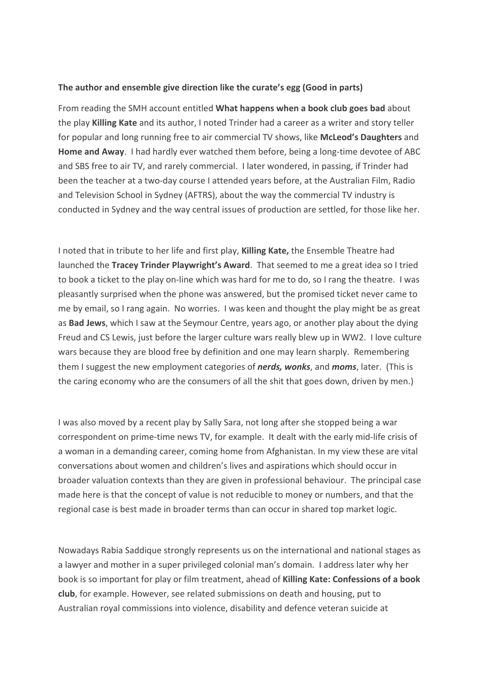#### **The author and ensemble give direction like the curate's egg (Good in parts)**

From reading the SMH account entitled **What happens when a book club goes bad** about the play **Killing Kate** and its author, I noted Trinder had a career as a writer and story teller for popular and long running free to air commercial TV shows, like **McLeod's Daughters** and **Home and Away**. I had hardly ever watched them before, being a long-time devotee of ABC and SBS free to air TV, and rarely commercial. I later wondered, in passing, if Trinder had been the teacher at a two-day course I attended years before, at the Australian Film, Radio and Television School in Sydney (AFTRS), about the way the commercial TV industry is conducted in Sydney and the way central issues of production are settled, for those like her.

I noted that in tribute to her life and first play, **Killing Kate,** the Ensemble Theatre had launched the **Tracey Trinder Playwright's Award**. That seemed to me a great idea so I tried to book a ticket to the play on-line which was hard for me to do, so I rang the theatre. I was pleasantly surprised when the phone was answered, but the promised ticket never came to me by email, so I rang again. No worries. I was keen and thought the play might be as great as **Bad Jews**, which I saw at the Seymour Centre, years ago, or another play about the dying Freud and CS Lewis, just before the larger culture wars really blew up in WW2. I love culture wars because they are blood free by definition and one may learn sharply. Remembering them I suggest the new employment categories of *nerds, wonks*, and *moms*, later. (This is the caring economy who are the consumers of all the shit that goes down, driven by men.)

I was also moved by a recent play by Sally Sara, not long after she stopped being a war correspondent on prime-time news TV, for example. It dealt with the early mid-life crisis of a woman in a demanding career, coming home from Afghanistan. In my view these are vital conversations about women and children's lives and aspirations which should occur in broader valuation contexts than they are given in professional behaviour. The principal case made here is that the concept of value is not reducible to money or numbers, and that the regional case is best made in broader terms than can occur in shared top market logic.

Nowadays Rabia Saddique strongly represents us on the international and national stages as a lawyer and mother in a super privileged colonial man's domain. I address later why her book is so important for play or film treatment, ahead of **Killing Kate: Confessions of a book club**, for example. However, see related submissions on death and housing, put to Australian royal commissions into violence, disability and defence veteran suicide at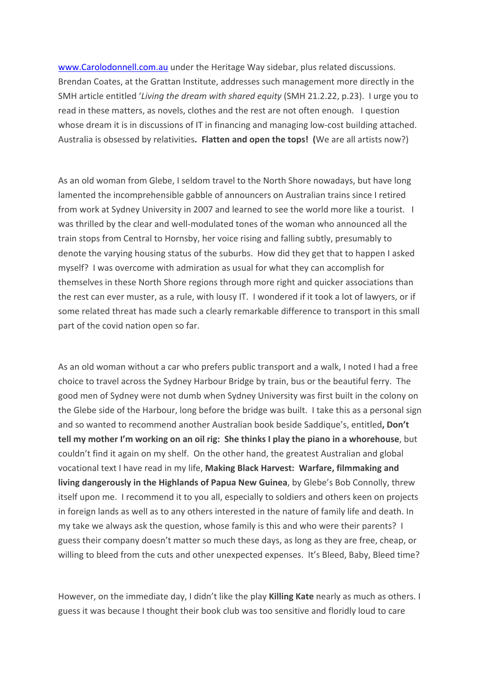www.Carolodonnell.com.au under the Heritage Way sidebar, plus related discussions. Brendan Coates, at the Grattan Institute, addresses such management more directly in the SMH article entitled '*Living the dream with shared equity* (SMH 21.2.22, p.23). I urge you to read in these matters, as novels, clothes and the rest are not often enough. I question whose dream it is in discussions of IT in financing and managing low-cost building attached. Australia is obsessed by relativities**. Flatten and open the tops! (**We are all artists now?)

As an old woman from Glebe, I seldom travel to the North Shore nowadays, but have long lamented the incomprehensible gabble of announcers on Australian trains since I retired from work at Sydney University in 2007 and learned to see the world more like a tourist. I was thrilled by the clear and well-modulated tones of the woman who announced all the train stops from Central to Hornsby, her voice rising and falling subtly, presumably to denote the varying housing status of the suburbs. How did they get that to happen I asked myself? I was overcome with admiration as usual for what they can accomplish for themselves in these North Shore regions through more right and quicker associations than the rest can ever muster, as a rule, with lousy IT. I wondered if it took a lot of lawyers, or if some related threat has made such a clearly remarkable difference to transport in this small part of the covid nation open so far.

As an old woman without a car who prefers public transport and a walk, I noted I had a free choice to travel across the Sydney Harbour Bridge by train, bus or the beautiful ferry. The good men of Sydney were not dumb when Sydney University was first built in the colony on the Glebe side of the Harbour, long before the bridge was built. I take this as a personal sign and so wanted to recommend another Australian book beside Saddique's, entitled**, Don't tell my mother I'm working on an oil rig: She thinks I play the piano in a whorehouse**, but couldn't find it again on my shelf. On the other hand, the greatest Australian and global vocational text I have read in my life, **Making Black Harvest: Warfare, filmmaking and living dangerously in the Highlands of Papua New Guinea**, by Glebe's Bob Connolly, threw itself upon me. I recommend it to you all, especially to soldiers and others keen on projects in foreign lands as well as to any others interested in the nature of family life and death. In my take we always ask the question, whose family is this and who were their parents? I guess their company doesn't matter so much these days, as long as they are free, cheap, or willing to bleed from the cuts and other unexpected expenses. It's Bleed, Baby, Bleed time?

However, on the immediate day, I didn't like the play **Killing Kate** nearly as much as others. I guess it was because I thought their book club was too sensitive and floridly loud to care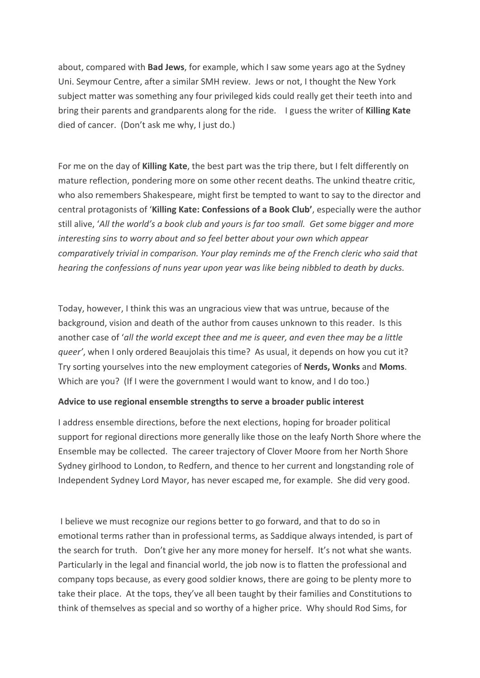about, compared with **Bad Jews**, for example, which I saw some years ago at the Sydney Uni. Seymour Centre, after a similar SMH review. Jews or not, I thought the New York subject matter was something any four privileged kids could really get their teeth into and bring their parents and grandparents along for the ride. I guess the writer of **Killing Kate** died of cancer. (Don't ask me why, I just do.)

For me on the day of **Killing Kate**, the best part was the trip there, but I felt differently on mature reflection, pondering more on some other recent deaths. The unkind theatre critic, who also remembers Shakespeare, might first be tempted to want to say to the director and central protagonists of '**Killing Kate: Confessions of a Book Club'**, especially were the author still alive, '*All the world's a book club and yours is far too small. Get some bigger and more interesting sins to worry about and so feel better about your own which appear comparatively trivial in comparison. Your play reminds me of the French cleric who said that hearing the confessions of nuns year upon year was like being nibbled to death by ducks.*

Today, however, I think this was an ungracious view that was untrue, because of the background, vision and death of the author from causes unknown to this reader. Is this another case of '*all the world except thee and me is queer, and even thee may be a little queer'*, when I only ordered Beaujolais this time? As usual, it depends on how you cut it? Try sorting yourselves into the new employment categories of **Nerds, Wonks** and **Moms**. Which are you? (If I were the government I would want to know, and I do too.)

#### **Advice to use regional ensemble strengths to serve a broader public interest**

I address ensemble directions, before the next elections, hoping for broader political support for regional directions more generally like those on the leafy North Shore where the Ensemble may be collected. The career trajectory of Clover Moore from her North Shore Sydney girlhood to London, to Redfern, and thence to her current and longstanding role of Independent Sydney Lord Mayor, has never escaped me, for example. She did very good.

I believe we must recognize our regions better to go forward, and that to do so in emotional terms rather than in professional terms, as Saddique always intended, is part of the search for truth. Don't give her any more money for herself. It's not what she wants. Particularly in the legal and financial world, the job now is to flatten the professional and company tops because, as every good soldier knows, there are going to be plenty more to take their place. At the tops, they've all been taught by their families and Constitutions to think of themselves as special and so worthy of a higher price. Why should Rod Sims, for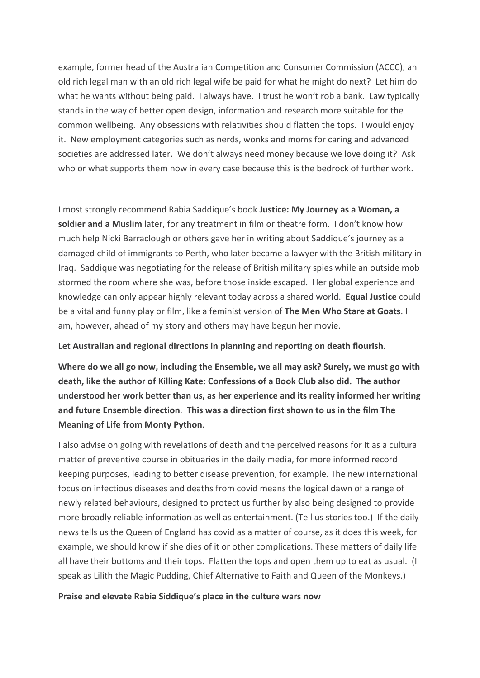example, former head of the Australian Competition and Consumer Commission (ACCC), an old rich legal man with an old rich legal wife be paid for what he might do next? Let him do what he wants without being paid. I always have. I trust he won't rob a bank. Law typically stands in the way of better open design, information and research more suitable for the common wellbeing. Any obsessions with relativities should flatten the tops. I would enjoy it. New employment categories such as nerds, wonks and moms for caring and advanced societies are addressed later. We don't always need money because we love doing it? Ask who or what supports them now in every case because this is the bedrock of further work.

I most strongly recommend Rabia Saddique's book **Justice: My Journey as a Woman, a soldier and a Muslim** later, for any treatment in film or theatre form. I don't know how much help Nicki Barraclough or others gave her in writing about Saddique's journey as a damaged child of immigrants to Perth, who later became a lawyer with the British military in Iraq. Saddique was negotiating for the release of British military spies while an outside mob stormed the room where she was, before those inside escaped. Her global experience and knowledge can only appear highly relevant today across a shared world. **Equal Justice** could be a vital and funny play or film, like a feminist version of **The Men Who Stare at Goats**. I am, however, ahead of my story and others may have begun her movie.

**Let Australian and regional directions in planning and reporting on death flourish.**

**Where do we all go now, including the Ensemble, we all may ask? Surely, we must go with death, like the author of Killing Kate: Confessions of a Book Club also did. The author understood her work better than us, as her experience and its reality informed her writing and future Ensemble direction**. **This was a direction first shown to us in the film The Meaning of Life from Monty Python**.

I also advise on going with revelations of death and the perceived reasons for it as a cultural matter of preventive course in obituaries in the daily media, for more informed record keeping purposes, leading to better disease prevention, for example. The new international focus on infectious diseases and deaths from covid means the logical dawn of a range of newly related behaviours, designed to protect us further by also being designed to provide more broadly reliable information as well as entertainment. (Tell us stories too.) If the daily news tells us the Queen of England has covid as a matter of course, as it does this week, for example, we should know if she dies of it or other complications. These matters of daily life all have their bottoms and their tops. Flatten the tops and open them up to eat as usual. (I speak as Lilith the Magic Pudding, Chief Alternative to Faith and Queen of the Monkeys.)

#### **Praise and elevate Rabia Siddique's place in the culture wars now**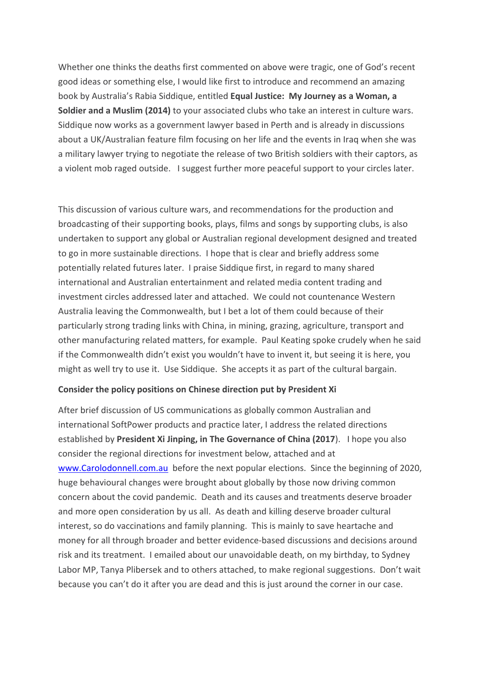Whether one thinks the deaths first commented on above were tragic, one of God's recent good ideas or something else, I would like first to introduce and recommend an amazing book by Australia's Rabia Siddique, entitled **Equal Justice: My Journey as a Woman, a Soldier and a Muslim (2014)** to your associated clubs who take an interest in culture wars. Siddique now works as a government lawyer based in Perth and is already in discussions about a UK/Australian feature film focusing on her life and the events in Iraq when she was a military lawyer trying to negotiate the release of two British soldiers with their captors, as a violent mob raged outside. I suggest further more peaceful support to your circles later.

This discussion of various culture wars, and recommendations for the production and broadcasting of their supporting books, plays, films and songs by supporting clubs, is also undertaken to support any global or Australian regional development designed and treated to go in more sustainable directions. I hope that is clear and briefly address some potentially related futures later. I praise Siddique first, in regard to many shared international and Australian entertainment and related media content trading and investment circles addressed later and attached. We could not countenance Western Australia leaving the Commonwealth, but I bet a lot of them could because of their particularly strong trading links with China, in mining, grazing, agriculture, transport and other manufacturing related matters, for example. Paul Keating spoke crudely when he said if the Commonwealth didn't exist you wouldn't have to invent it, but seeing it is here, you might as well try to use it. Use Siddique. She accepts it as part of the cultural bargain.

#### **Consider the policy positions on Chinese direction put by President Xi**

After brief discussion of US communications as globally common Australian and international SoftPower products and practice later, I address the related directions established by **President Xi Jinping, in The Governance of China (2017**). I hope you also consider the regional directions for investment below, attached and at www.Carolodonnell.com.au before the next popular elections. Since the beginning of 2020, huge behavioural changes were brought about globally by those now driving common concern about the covid pandemic. Death and its causes and treatments deserve broader and more open consideration by us all. As death and killing deserve broader cultural interest, so do vaccinations and family planning. This is mainly to save heartache and money for all through broader and better evidence-based discussions and decisions around risk and its treatment. I emailed about our unavoidable death, on my birthday, to Sydney Labor MP, Tanya Plibersek and to others attached, to make regional suggestions. Don't wait because you can't do it after you are dead and this is just around the corner in our case.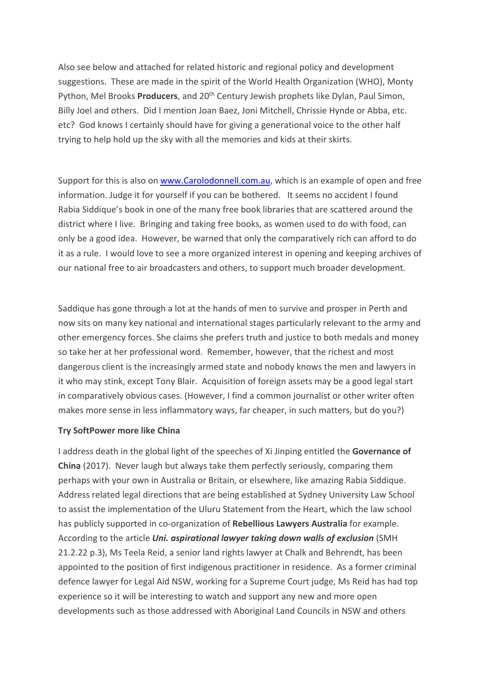Also see below and attached for related historic and regional policy and development suggestions. These are made in the spirit of the World Health Organization (WHO), Monty Python, Mel Brooks **Producers**, and 20<sup>th</sup> Century Jewish prophets like Dylan, Paul Simon, Billy Joel and others. Did I mention Joan Baez, Joni Mitchell, Chrissie Hynde or Abba, etc. etc? God knows I certainly should have for giving a generational voice to the other half trying to help hold up the sky with all the memories and kids at their skirts.

Support for this is also on www.Carolodonnell.com.au, which is an example of open and free information. Judge it for yourself if you can be bothered. It seems no accident I found Rabia Siddique's book in one of the many free book libraries that are scattered around the district where I live. Bringing and taking free books, as women used to do with food, can only be a good idea. However, be warned that only the comparatively rich can afford to do it as a rule. I would love to see a more organized interest in opening and keeping archives of our national free to air broadcasters and others, to support much broader development.

Saddique has gone through a lot at the hands of men to survive and prosper in Perth and now sits on many key national and international stages particularly relevant to the army and other emergency forces. She claims she prefers truth and justice to both medals and money so take her at her professional word. Remember, however, that the richest and most dangerous client is the increasingly armed state and nobody knows the men and lawyers in it who may stink, except Tony Blair. Acquisition of foreign assets may be a good legal start in comparatively obvious cases. (However, I find a common journalist or other writer often makes more sense in less inflammatory ways, far cheaper, in such matters, but do you?)

#### **Try SoftPower more like China**

I address death in the global light of the speeches of Xi Jinping entitled the **Governance of China** (2017). Never laugh but always take them perfectly seriously, comparing them perhaps with your own in Australia or Britain, or elsewhere, like amazing Rabia Siddique. Address related legal directions that are being established at Sydney University Law School to assist the implementation of the Uluru Statement from the Heart, which the law school has publicly supported in co-organization of **Rebellious Lawyers Australia** for example. According to the article *Uni. aspirational lawyer taking down walls of exclusion* (SMH 21.2.22 p.3), Ms Teela Reid, a senior land rights lawyer at Chalk and Behrendt, has been appointed to the position of first indigenous practitioner in residence. As a former criminal defence lawyer for Legal Aid NSW, working for a Supreme Court judge, Ms Reid has had top experience so it will be interesting to watch and support any new and more open developments such as those addressed with Aboriginal Land Councils in NSW and others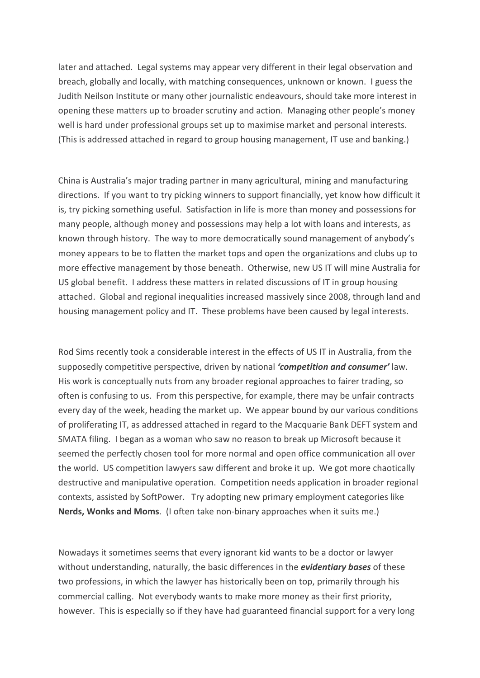later and attached. Legal systems may appear very different in their legal observation and breach, globally and locally, with matching consequences, unknown or known. I guess the Judith Neilson Institute or many other journalistic endeavours, should take more interest in opening these matters up to broader scrutiny and action. Managing other people's money well is hard under professional groups set up to maximise market and personal interests. (This is addressed attached in regard to group housing management, IT use and banking.)

China is Australia's major trading partner in many agricultural, mining and manufacturing directions. If you want to try picking winners to support financially, yet know how difficult it is, try picking something useful. Satisfaction in life is more than money and possessions for many people, although money and possessions may help a lot with loans and interests, as known through history. The way to more democratically sound management of anybody's money appears to be to flatten the market tops and open the organizations and clubs up to more effective management by those beneath. Otherwise, new US IT will mine Australia for US global benefit. I address these matters in related discussions of IT in group housing attached. Global and regional inequalities increased massively since 2008, through land and housing management policy and IT. These problems have been caused by legal interests.

Rod Sims recently took a considerable interest in the effects of US IT in Australia, from the supposedly competitive perspective, driven by national *'competition and consumer'* law. His work is conceptually nuts from any broader regional approaches to fairer trading, so often is confusing to us. From this perspective, for example, there may be unfair contracts every day of the week, heading the market up. We appear bound by our various conditions of proliferating IT, as addressed attached in regard to the Macquarie Bank DEFT system and SMATA filing. I began as a woman who saw no reason to break up Microsoft because it seemed the perfectly chosen tool for more normal and open office communication all over the world. US competition lawyers saw different and broke it up. We got more chaotically destructive and manipulative operation. Competition needs application in broader regional contexts, assisted by SoftPower. Try adopting new primary employment categories like **Nerds, Wonks and Moms**. (I often take non-binary approaches when it suits me.)

Nowadays it sometimes seems that every ignorant kid wants to be a doctor or lawyer without understanding, naturally, the basic differences in the *evidentiary bases* of these two professions, in which the lawyer has historically been on top, primarily through his commercial calling. Not everybody wants to make more money as their first priority, however. This is especially so if they have had guaranteed financial support for a very long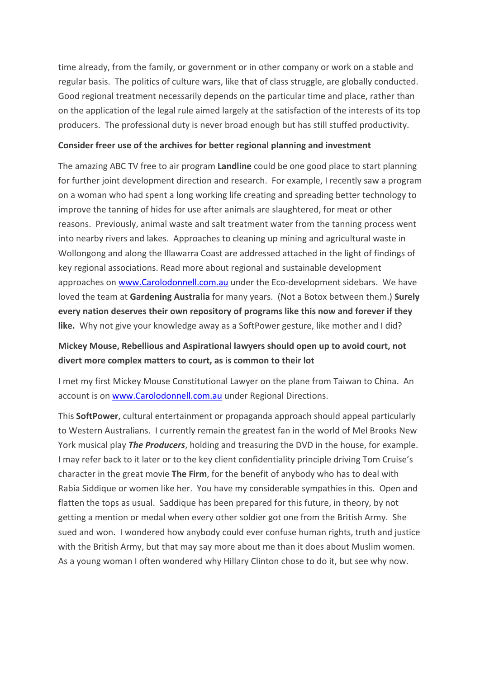time already, from the family, or government or in other company or work on a stable and regular basis. The politics of culture wars, like that of class struggle, are globally conducted. Good regional treatment necessarily depends on the particular time and place, rather than on the application of the legal rule aimed largely at the satisfaction of the interests of its top producers. The professional duty is never broad enough but has still stuffed productivity.

#### **Consider freer use of the archives for better regional planning and investment**

The amazing ABC TV free to air program **Landline** could be one good place to start planning for further joint development direction and research. For example, I recently saw a program on a woman who had spent a long working life creating and spreading better technology to improve the tanning of hides for use after animals are slaughtered, for meat or other reasons. Previously, animal waste and salt treatment water from the tanning process went into nearby rivers and lakes. Approaches to cleaning up mining and agricultural waste in Wollongong and along the Illawarra Coast are addressed attached in the light of findings of key regional associations. Read more about regional and sustainable development approaches on www.Carolodonnell.com.au under the Eco-development sidebars. We have loved the team at **Gardening Australia** for many years. (Not a Botox between them.) **Surely every nation deserves their own repository of programs like this now and forever if they like.** Why not give your knowledge away as a SoftPower gesture, like mother and I did?

# **Mickey Mouse, Rebellious and Aspirational lawyers should open up to avoid court, not divert more complex matters to court, as is common to their lot**

I met my first Mickey Mouse Constitutional Lawyer on the plane from Taiwan to China. An account is on www.Carolodonnell.com.au under Regional Directions.

This **SoftPower**, cultural entertainment or propaganda approach should appeal particularly to Western Australians. I currently remain the greatest fan in the world of Mel Brooks New York musical play *The Producers*, holding and treasuring the DVD in the house, for example. I may refer back to it later or to the key client confidentiality principle driving Tom Cruise's character in the great movie **The Firm**, for the benefit of anybody who has to deal with Rabia Siddique or women like her. You have my considerable sympathies in this. Open and flatten the tops as usual. Saddique has been prepared for this future, in theory, by not getting a mention or medal when every other soldier got one from the British Army. She sued and won. I wondered how anybody could ever confuse human rights, truth and justice with the British Army, but that may say more about me than it does about Muslim women. As a young woman I often wondered why Hillary Clinton chose to do it, but see why now.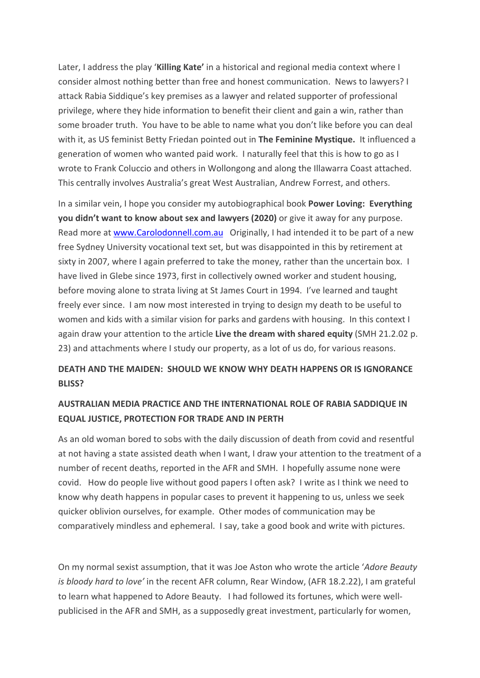Later, I address the play '**Killing Kate'** in a historical and regional media context where I consider almost nothing better than free and honest communication. News to lawyers? I attack Rabia Siddique's key premises as a lawyer and related supporter of professional privilege, where they hide information to benefit their client and gain a win, rather than some broader truth. You have to be able to name what you don't like before you can deal with it, as US feminist Betty Friedan pointed out in **The Feminine Mystique.** It influenced a generation of women who wanted paid work. I naturally feel that this is how to go as I wrote to Frank Coluccio and others in Wollongong and along the Illawarra Coast attached. This centrally involves Australia's great West Australian, Andrew Forrest, and others.

In a similar vein, I hope you consider my autobiographical book **Power Loving: Everything you didn't want to know about sex and lawyers (2020)** or give it away for any purpose. Read more at www.Carolodonnell.com.au Originally, I had intended it to be part of a new free Sydney University vocational text set, but was disappointed in this by retirement at sixty in 2007, where I again preferred to take the money, rather than the uncertain box. I have lived in Glebe since 1973, first in collectively owned worker and student housing, before moving alone to strata living at St James Court in 1994. I've learned and taught freely ever since. I am now most interested in trying to design my death to be useful to women and kids with a similar vision for parks and gardens with housing. In this context I again draw your attention to the article **Live the dream with shared equity** (SMH 21.2.02 p. 23) and attachments where I study our property, as a lot of us do, for various reasons.

## **DEATH AND THE MAIDEN: SHOULD WE KNOW WHY DEATH HAPPENS OR IS IGNORANCE BLISS?**

## **AUSTRALIAN MEDIA PRACTICE AND THE INTERNATIONAL ROLE OF RABIA SADDIQUE IN EQUAL JUSTICE, PROTECTION FOR TRADE AND IN PERTH**

As an old woman bored to sobs with the daily discussion of death from covid and resentful at not having a state assisted death when I want, I draw your attention to the treatment of a number of recent deaths, reported in the AFR and SMH. I hopefully assume none were covid. How do people live without good papers I often ask? I write as I think we need to know why death happens in popular cases to prevent it happening to us, unless we seek quicker oblivion ourselves, for example. Other modes of communication may be comparatively mindless and ephemeral. I say, take a good book and write with pictures.

On my normal sexist assumption, that it was Joe Aston who wrote the article '*Adore Beauty is bloody hard to love'* in the recent AFR column, Rear Window, (AFR 18.2.22), I am grateful to learn what happened to Adore Beauty. I had followed its fortunes, which were wellpublicised in the AFR and SMH, as a supposedly great investment, particularly for women,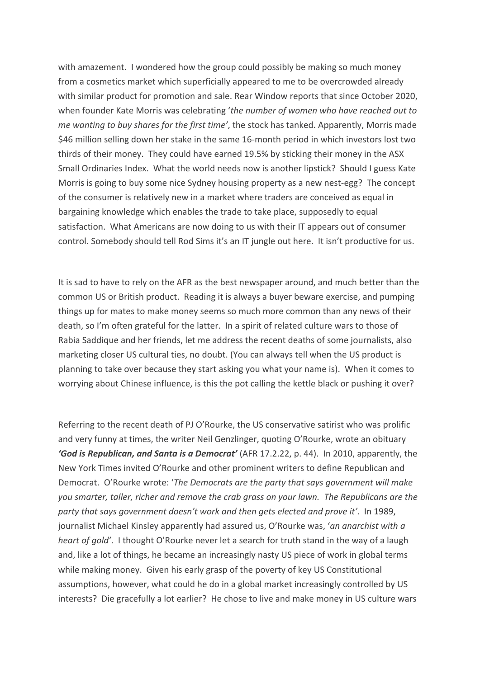with amazement. I wondered how the group could possibly be making so much money from a cosmetics market which superficially appeared to me to be overcrowded already with similar product for promotion and sale. Rear Window reports that since October 2020, when founder Kate Morris was celebrating '*the number of women who have reached out to me wanting to buy shares for the first time'*, the stock has tanked. Apparently, Morris made \$46 million selling down her stake in the same 16-month period in which investors lost two thirds of their money. They could have earned 19.5% by sticking their money in the ASX Small Ordinaries Index. What the world needs now is another lipstick? Should I guess Kate Morris is going to buy some nice Sydney housing property as a new nest-egg? The concept of the consumer is relatively new in a market where traders are conceived as equal in bargaining knowledge which enables the trade to take place, supposedly to equal satisfaction. What Americans are now doing to us with their IT appears out of consumer control. Somebody should tell Rod Sims it's an IT jungle out here. It isn't productive for us.

It is sad to have to rely on the AFR as the best newspaper around, and much better than the common US or British product. Reading it is always a buyer beware exercise, and pumping things up for mates to make money seems so much more common than any news of their death, so I'm often grateful for the latter. In a spirit of related culture wars to those of Rabia Saddique and her friends, let me address the recent deaths of some journalists, also marketing closer US cultural ties, no doubt. (You can always tell when the US product is planning to take over because they start asking you what your name is). When it comes to worrying about Chinese influence, is this the pot calling the kettle black or pushing it over?

Referring to the recent death of PJ O'Rourke, the US conservative satirist who was prolific and very funny at times, the writer Neil Genzlinger, quoting O'Rourke, wrote an obituary *'God is Republican, and Santa is a Democrat'* (AFR 17.2.22, p. 44). In 2010, apparently, the New York Times invited O'Rourke and other prominent writers to define Republican and Democrat. O'Rourke wrote: '*The Democrats are the party that says government will make you smarter, taller, richer and remove the crab grass on your lawn. The Republicans are the party that says government doesn't work and then gets elected and prove it'*. In 1989, journalist Michael Kinsley apparently had assured us, O'Rourke was, '*an anarchist with a heart of gold'*. I thought O'Rourke never let a search for truth stand in the way of a laugh and, like a lot of things, he became an increasingly nasty US piece of work in global terms while making money. Given his early grasp of the poverty of key US Constitutional assumptions, however, what could he do in a global market increasingly controlled by US interests? Die gracefully a lot earlier? He chose to live and make money in US culture wars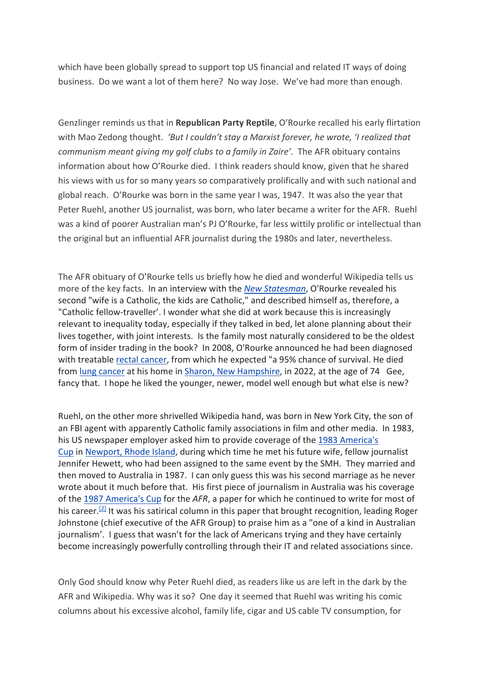which have been globally spread to support top US financial and related IT ways of doing business. Do we want a lot of them here? No way Jose. We've had more than enough.

Genzlinger reminds us that in **Republican Party Reptile**, O'Rourke recalled his early flirtation with Mao Zedong thought. *'But I couldn't stay a Marxist forever, he wrote, 'I realized that communism meant giving my golf clubs to a family in Zaire'.* The AFR obituary contains information about how O'Rourke died. I think readers should know, given that he shared his views with us for so many years so comparatively prolifically and with such national and global reach. O'Rourke was born in the same year I was, 1947. It was also the year that Peter Ruehl, another US journalist, was born, who later became a writer for the AFR. Ruehl was a kind of poorer Australian man's PJ O'Rourke, far less wittily prolific or intellectual than the original but an influential AFR journalist during the 1980s and later, nevertheless.

The AFR obituary of O'Rourke tells us briefly how he died and wonderful Wikipedia tells us more of the key facts. In an interview with the *New Statesman*, O'Rourke revealed his second "wife is a Catholic, the kids are Catholic," and described himself as, therefore, a "Catholic fellow-traveller'. I wonder what she did at work because this is increasingly relevant to inequality today, especially if they talked in bed, let alone planning about their lives together, with joint interests. Is the family most naturally considered to be the oldest form of insider trading in the book? In 2008, O'Rourke announced he had been diagnosed with treatable rectal cancer, from which he expected "a 95% chance of survival. He died from lung cancer at his home in Sharon, New Hampshire, in 2022, at the age of 74 Gee, fancy that. I hope he liked the younger, newer, model well enough but what else is new?

Ruehl, on the other more shrivelled Wikipedia hand, was born in New York City, the son of an FBI agent with apparently Catholic family associations in film and other media. In 1983, his US newspaper employer asked him to provide coverage of the 1983 America's Cup in Newport, Rhode Island, during which time he met his future wife, fellow journalist Jennifer Hewett, who had been assigned to the same event by the SMH. They married and then moved to Australia in 1987. I can only guess this was his second marriage as he never wrote about it much before that. His first piece of journalism in Australia was his coverage of the 1987 America's Cup for the *AFR*, a paper for which he continued to write for most of his career.<sup>[2]</sup> It was his satirical column in this paper that brought recognition, leading Roger Johnstone (chief executive of the AFR Group) to praise him as a "one of a kind in Australian journalism'. I guess that wasn't for the lack of Americans trying and they have certainly become increasingly powerfully controlling through their IT and related associations since.

Only God should know why Peter Ruehl died, as readers like us are left in the dark by the AFR and Wikipedia. Why was it so? One day it seemed that Ruehl was writing his comic columns about his excessive alcohol, family life, cigar and US cable TV consumption, for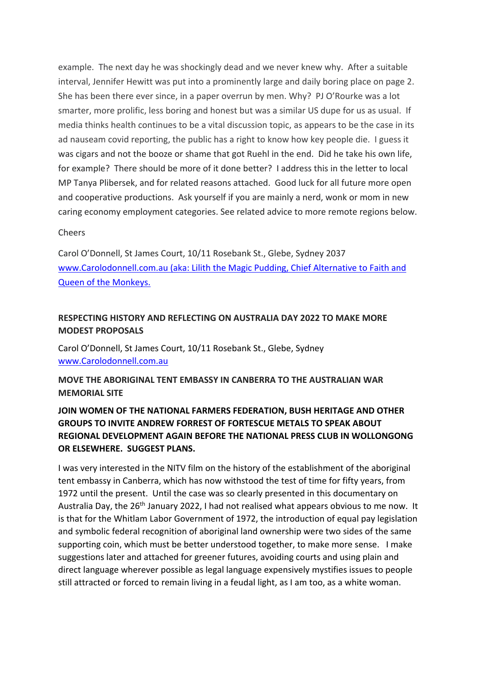example. The next day he was shockingly dead and we never knew why. After a suitable interval, Jennifer Hewitt was put into a prominently large and daily boring place on page 2. She has been there ever since, in a paper overrun by men. Why? PJ O'Rourke was a lot smarter, more prolific, less boring and honest but was a similar US dupe for us as usual. If media thinks health continues to be a vital discussion topic, as appears to be the case in its ad nauseam covid reporting, the public has a right to know how key people die. I guess it was cigars and not the booze or shame that got Ruehl in the end. Did he take his own life, for example? There should be more of it done better? I address this in the letter to local MP Tanya Plibersek, and for related reasons attached. Good luck for all future more open and cooperative productions. Ask yourself if you are mainly a nerd, wonk or mom in new caring economy employment categories. See related advice to more remote regions below.

#### Cheers

Carol O'Donnell, St James Court, 10/11 Rosebank St., Glebe, Sydney 2037 www.Carolodonnell.com.au (aka: Lilith the Magic Pudding, Chief Alternative to Faith and Queen of the Monkeys.

### **RESPECTING HISTORY AND REFLECTING ON AUSTRALIA DAY 2022 TO MAKE MORE MODEST PROPOSALS**

Carol O'Donnell, St James Court, 10/11 Rosebank St., Glebe, Sydney www.Carolodonnell.com.au

**MOVE THE ABORIGINAL TENT EMBASSY IN CANBERRA TO THE AUSTRALIAN WAR MEMORIAL SITE**

## **JOIN WOMEN OF THE NATIONAL FARMERS FEDERATION, BUSH HERITAGE AND OTHER GROUPS TO INVITE ANDREW FORREST OF FORTESCUE METALS TO SPEAK ABOUT REGIONAL DEVELOPMENT AGAIN BEFORE THE NATIONAL PRESS CLUB IN WOLLONGONG OR ELSEWHERE. SUGGEST PLANS.**

I was very interested in the NITV film on the history of the establishment of the aboriginal tent embassy in Canberra, which has now withstood the test of time for fifty years, from 1972 until the present. Until the case was so clearly presented in this documentary on Australia Day, the 26<sup>th</sup> January 2022, I had not realised what appears obvious to me now. It is that for the Whitlam Labor Government of 1972, the introduction of equal pay legislation and symbolic federal recognition of aboriginal land ownership were two sides of the same supporting coin, which must be better understood together, to make more sense. I make suggestions later and attached for greener futures, avoiding courts and using plain and direct language wherever possible as legal language expensively mystifies issues to people still attracted or forced to remain living in a feudal light, as I am too, as a white woman.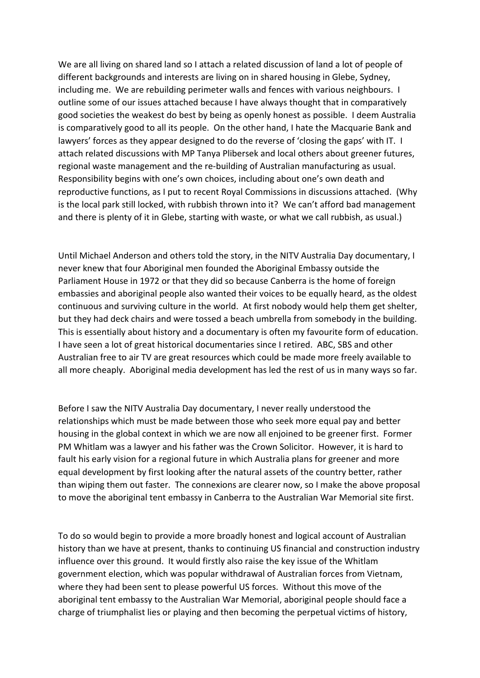We are all living on shared land so I attach a related discussion of land a lot of people of different backgrounds and interests are living on in shared housing in Glebe, Sydney, including me. We are rebuilding perimeter walls and fences with various neighbours. I outline some of our issues attached because I have always thought that in comparatively good societies the weakest do best by being as openly honest as possible. I deem Australia is comparatively good to all its people. On the other hand, I hate the Macquarie Bank and lawyers' forces as they appear designed to do the reverse of 'closing the gaps' with IT. I attach related discussions with MP Tanya Plibersek and local others about greener futures, regional waste management and the re-building of Australian manufacturing as usual. Responsibility begins with one's own choices, including about one's own death and reproductive functions, as I put to recent Royal Commissions in discussions attached. (Why is the local park still locked, with rubbish thrown into it? We can't afford bad management and there is plenty of it in Glebe, starting with waste, or what we call rubbish, as usual.)

Until Michael Anderson and others told the story, in the NITV Australia Day documentary, I never knew that four Aboriginal men founded the Aboriginal Embassy outside the Parliament House in 1972 or that they did so because Canberra is the home of foreign embassies and aboriginal people also wanted their voices to be equally heard, as the oldest continuous and surviving culture in the world. At first nobody would help them get shelter, but they had deck chairs and were tossed a beach umbrella from somebody in the building. This is essentially about history and a documentary is often my favourite form of education. I have seen a lot of great historical documentaries since I retired. ABC, SBS and other Australian free to air TV are great resources which could be made more freely available to all more cheaply. Aboriginal media development has led the rest of us in many ways so far.

Before I saw the NITV Australia Day documentary, I never really understood the relationships which must be made between those who seek more equal pay and better housing in the global context in which we are now all enjoined to be greener first. Former PM Whitlam was a lawyer and his father was the Crown Solicitor. However, it is hard to fault his early vision for a regional future in which Australia plans for greener and more equal development by first looking after the natural assets of the country better, rather than wiping them out faster. The connexions are clearer now, so I make the above proposal to move the aboriginal tent embassy in Canberra to the Australian War Memorial site first.

To do so would begin to provide a more broadly honest and logical account of Australian history than we have at present, thanks to continuing US financial and construction industry influence over this ground. It would firstly also raise the key issue of the Whitlam government election, which was popular withdrawal of Australian forces from Vietnam, where they had been sent to please powerful US forces. Without this move of the aboriginal tent embassy to the Australian War Memorial, aboriginal people should face a charge of triumphalist lies or playing and then becoming the perpetual victims of history,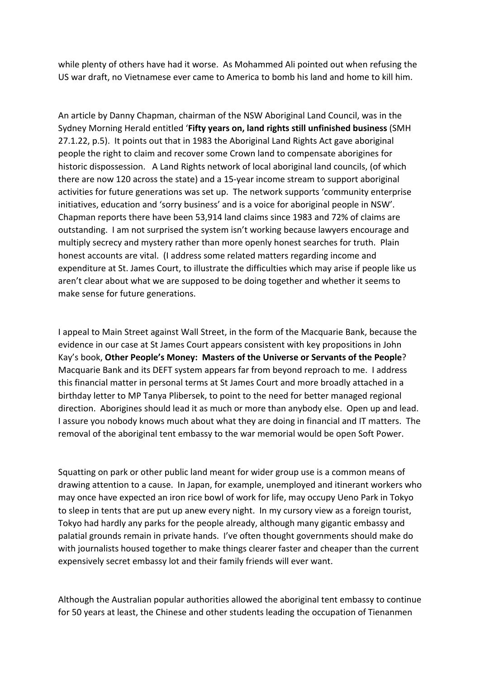while plenty of others have had it worse. As Mohammed Ali pointed out when refusing the US war draft, no Vietnamese ever came to America to bomb his land and home to kill him.

An article by Danny Chapman, chairman of the NSW Aboriginal Land Council, was in the Sydney Morning Herald entitled '**Fifty years on, land rights still unfinished business** (SMH 27.1.22, p.5). It points out that in 1983 the Aboriginal Land Rights Act gave aboriginal people the right to claim and recover some Crown land to compensate aborigines for historic dispossession. A Land Rights network of local aboriginal land councils, (of which there are now 120 across the state) and a 15-year income stream to support aboriginal activities for future generations was set up. The network supports 'community enterprise initiatives, education and 'sorry business' and is a voice for aboriginal people in NSW'. Chapman reports there have been 53,914 land claims since 1983 and 72% of claims are outstanding. I am not surprised the system isn't working because lawyers encourage and multiply secrecy and mystery rather than more openly honest searches for truth. Plain honest accounts are vital. (I address some related matters regarding income and expenditure at St. James Court, to illustrate the difficulties which may arise if people like us aren't clear about what we are supposed to be doing together and whether it seems to make sense for future generations.

I appeal to Main Street against Wall Street, in the form of the Macquarie Bank, because the evidence in our case at St James Court appears consistent with key propositions in John Kay's book, **Other People's Money: Masters of the Universe or Servants of the People**? Macquarie Bank and its DEFT system appears far from beyond reproach to me. I address this financial matter in personal terms at St James Court and more broadly attached in a birthday letter to MP Tanya Plibersek, to point to the need for better managed regional direction. Aborigines should lead it as much or more than anybody else. Open up and lead. I assure you nobody knows much about what they are doing in financial and IT matters. The removal of the aboriginal tent embassy to the war memorial would be open Soft Power.

Squatting on park or other public land meant for wider group use is a common means of drawing attention to a cause. In Japan, for example, unemployed and itinerant workers who may once have expected an iron rice bowl of work for life, may occupy Ueno Park in Tokyo to sleep in tents that are put up anew every night. In my cursory view as a foreign tourist, Tokyo had hardly any parks for the people already, although many gigantic embassy and palatial grounds remain in private hands. I've often thought governments should make do with journalists housed together to make things clearer faster and cheaper than the current expensively secret embassy lot and their family friends will ever want.

Although the Australian popular authorities allowed the aboriginal tent embassy to continue for 50 years at least, the Chinese and other students leading the occupation of Tienanmen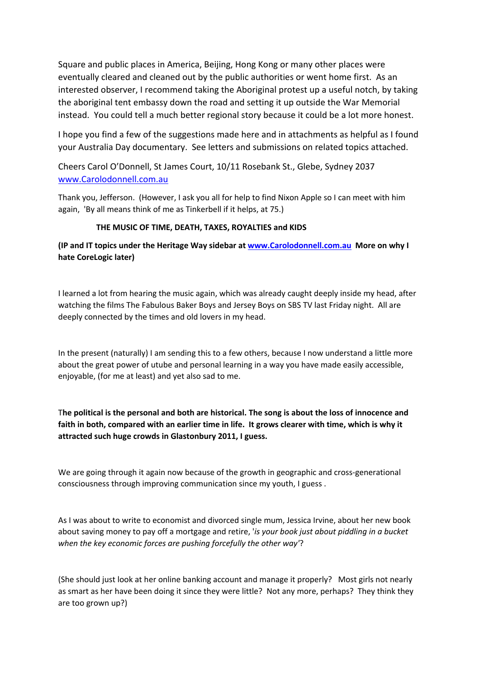Square and public places in America, Beijing, Hong Kong or many other places were eventually cleared and cleaned out by the public authorities or went home first. As an interested observer, I recommend taking the Aboriginal protest up a useful notch, by taking the aboriginal tent embassy down the road and setting it up outside the War Memorial instead. You could tell a much better regional story because it could be a lot more honest.

I hope you find a few of the suggestions made here and in attachments as helpful as I found your Australia Day documentary. See letters and submissions on related topics attached.

Cheers Carol O'Donnell, St James Court, 10/11 Rosebank St., Glebe, Sydney 2037 www.Carolodonnell.com.au

Thank you, Jefferson. (However, I ask you all for help to find Nixon Apple so I can meet with him again, 'By all means think of me as Tinkerbell if it helps, at 75.)

#### **THE MUSIC OF TIME, DEATH, TAXES, ROYALTIES and KIDS**

**(IP and IT topics under the Heritage Way sidebar at www.Carolodonnell.com.au More on why I hate CoreLogic later)**

I learned a lot from hearing the music again, which was already caught deeply inside my head, after watching the films The Fabulous Baker Boys and Jersey Boys on SBS TV last Friday night. All are deeply connected by the times and old lovers in my head.

In the present (naturally) I am sending this to a few others, because I now understand a little more about the great power of utube and personal learning in a way you have made easily accessible, enjoyable, (for me at least) and yet also sad to me.

T**he political is the personal and both are historical. The song is about the loss of innocence and faith in both, compared with an earlier time in life. It grows clearer with time, which is why it attracted such huge crowds in Glastonbury 2011, I guess.**

We are going through it again now because of the growth in geographic and cross-generational consciousness through improving communication since my youth, I guess .

As I was about to write to economist and divorced single mum, Jessica Irvine, about her new book about saving money to pay off a mortgage and retire, '*is your book just about piddling in a bucket when the key economic forces are pushing forcefully the other way'*?

(She should just look at her online banking account and manage it properly? Most girls not nearly as smart as her have been doing it since they were little? Not any more, perhaps? They think they are too grown up?)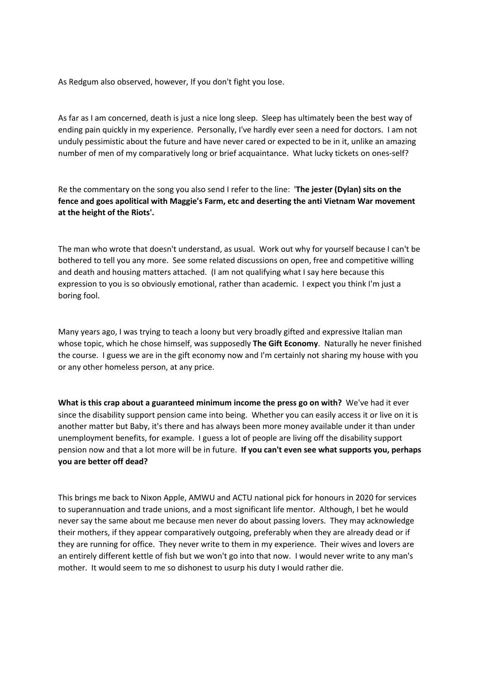As Redgum also observed, however, If you don't fight you lose.

As far as I am concerned, death is just a nice long sleep. Sleep has ultimately been the best way of ending pain quickly in my experience. Personally, I've hardly ever seen a need for doctors. I am not unduly pessimistic about the future and have never cared or expected to be in it, unlike an amazing number of men of my comparatively long or brief acquaintance. What lucky tickets on ones-self?

Re the commentary on the song you also send I refer to the line: '**The jester (Dylan) sits on the fence and goes apolitical with Maggie's Farm, etc and deserting the anti Vietnam War movement at the height of the Riots'.**

The man who wrote that doesn't understand, as usual. Work out why for yourself because I can't be bothered to tell you any more. See some related discussions on open, free and competitive willing and death and housing matters attached. (I am not qualifying what I say here because this expression to you is so obviously emotional, rather than academic. I expect you think I'm just a boring fool.

Many years ago, I was trying to teach a loony but very broadly gifted and expressive Italian man whose topic, which he chose himself, was supposedly **The Gift Economy**. Naturally he never finished the course. I guess we are in the gift economy now and I'm certainly not sharing my house with you or any other homeless person, at any price.

**What is this crap about a guaranteed minimum income the press go on with?** We've had it ever since the disability support pension came into being. Whether you can easily access it or live on it is another matter but Baby, it's there and has always been more money available under it than under unemployment benefits, for example. I guess a lot of people are living off the disability support pension now and that a lot more will be in future. **If you can't even see what supports you, perhaps you are better off dead?**

This brings me back to Nixon Apple, AMWU and ACTU national pick for honours in 2020 for services to superannuation and trade unions, and a most significant life mentor. Although, I bet he would never say the same about me because men never do about passing lovers. They may acknowledge their mothers, if they appear comparatively outgoing, preferably when they are already dead or if they are running for office. They never write to them in my experience. Their wives and lovers are an entirely different kettle of fish but we won't go into that now. I would never write to any man's mother. It would seem to me so dishonest to usurp his duty I would rather die.